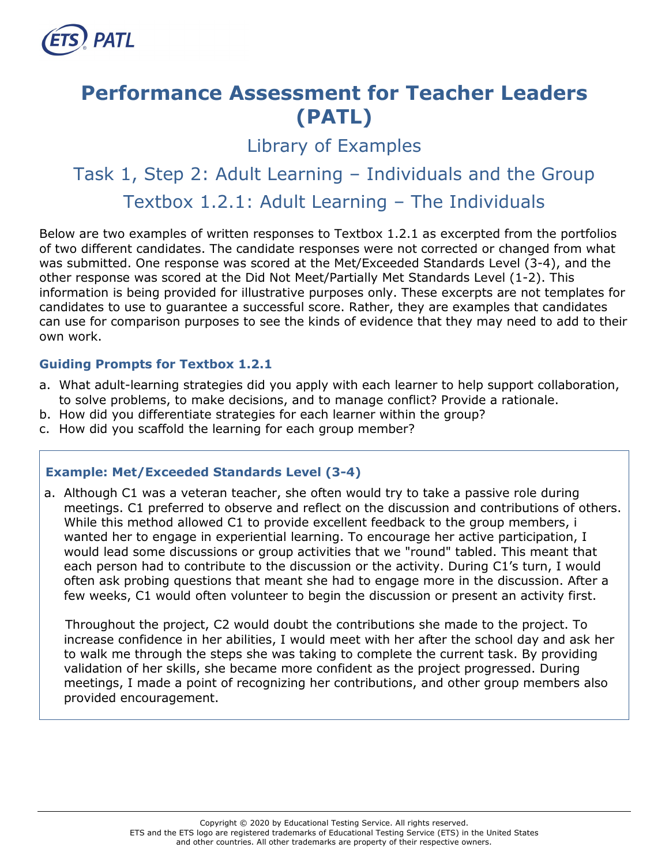

# **Performance Assessment for Teacher Leaders (PATL)**

Library of Examples

# Task 1, Step 2: Adult Learning – Individuals and the Group Textbox 1.2.1: Adult Learning – The Individuals

Below are two examples of written responses to Textbox 1.2.1 as excerpted from the portfolios of two different candidates. The candidate responses were not corrected or changed from what was submitted. One response was scored at the Met/Exceeded Standards Level (3-4), and the other response was scored at the Did Not Meet/Partially Met Standards Level (1-2). This information is being provided for illustrative purposes only. These excerpts are not templates for candidates to use to guarantee a successful score. Rather, they are examples that candidates can use for comparison purposes to see the kinds of evidence that they may need to add to their own work.

## **Guiding Prompts for Textbox 1.2.1**

- a. What adult-learning strategies did you apply with each learner to help support collaboration, to solve problems, to make decisions, and to manage conflict? Provide a rationale.
- b. How did you differentiate strategies for each learner within the group?
- c. How did you scaffold the learning for each group member?

#### **Example: Met/Exceeded Standards Level (3-4)**

a. Although C1 was a veteran teacher, she often would try to take a passive role during meetings. C1 preferred to observe and reflect on the discussion and contributions of others. While this method allowed C1 to provide excellent feedback to the group members, i wanted her to engage in experiential learning. To encourage her active participation, I would lead some discussions or group activities that we "round" tabled. This meant that each person had to contribute to the discussion or the activity. During C1's turn, I would often ask probing questions that meant she had to engage more in the discussion. After a few weeks, C1 would often volunteer to begin the discussion or present an activity first.

Throughout the project, C2 would doubt the contributions she made to the project. To increase confidence in her abilities, I would meet with her after the school day and ask her to walk me through the steps she was taking to complete the current task. By providing validation of her skills, she became more confident as the project progressed. During meetings, I made a point of recognizing her contributions, and other group members also provided encouragement.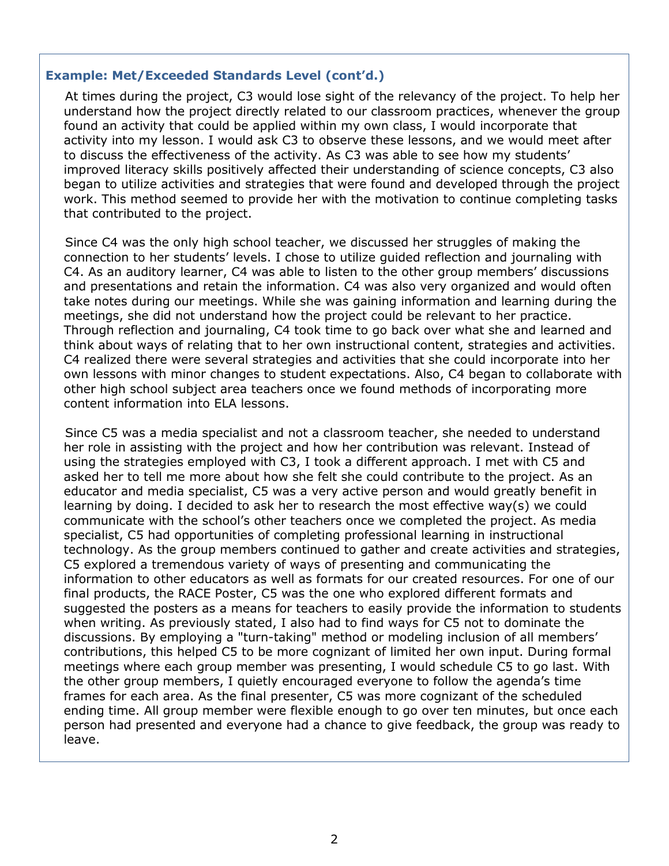#### **Example: Met/Exceeded Standards Level (cont'd.)**

At times during the project, C3 would lose sight of the relevancy of the project. To help her understand how the project directly related to our classroom practices, whenever the group found an activity that could be applied within my own class, I would incorporate that activity into my lesson. I would ask C3 to observe these lessons, and we would meet after to discuss the effectiveness of the activity. As C3 was able to see how my students' improved literacy skills positively affected their understanding of science concepts, C3 also began to utilize activities and strategies that were found and developed through the project work. This method seemed to provide her with the motivation to continue completing tasks that contributed to the project.

Since C4 was the only high school teacher, we discussed her struggles of making the connection to her students' levels. I chose to utilize guided reflection and journaling with C4. As an auditory learner, C4 was able to listen to the other group members' discussions and presentations and retain the information. C4 was also very organized and would often take notes during our meetings. While she was gaining information and learning during the meetings, she did not understand how the project could be relevant to her practice. Through reflection and journaling, C4 took time to go back over what she and learned and think about ways of relating that to her own instructional content, strategies and activities. C4 realized there were several strategies and activities that she could incorporate into her own lessons with minor changes to student expectations. Also, C4 began to collaborate with other high school subject area teachers once we found methods of incorporating more content information into ELA lessons.

Since C5 was a media specialist and not a classroom teacher, she needed to understand her role in assisting with the project and how her contribution was relevant. Instead of using the strategies employed with C3, I took a different approach. I met with C5 and asked her to tell me more about how she felt she could contribute to the project. As an educator and media specialist, C5 was a very active person and would greatly benefit in learning by doing. I decided to ask her to research the most effective way(s) we could communicate with the school's other teachers once we completed the project. As media specialist, C5 had opportunities of completing professional learning in instructional technology. As the group members continued to gather and create activities and strategies, C5 explored a tremendous variety of ways of presenting and communicating the information to other educators as well as formats for our created resources. For one of our final products, the RACE Poster, C5 was the one who explored different formats and suggested the posters as a means for teachers to easily provide the information to students when writing. As previously stated, I also had to find ways for C5 not to dominate the discussions. By employing a "turn-taking" method or modeling inclusion of all members' contributions, this helped C5 to be more cognizant of limited her own input. During formal meetings where each group member was presenting, I would schedule C5 to go last. With the other group members, I quietly encouraged everyone to follow the agenda's time frames for each area. As the final presenter, C5 was more cognizant of the scheduled ending time. All group member were flexible enough to go over ten minutes, but once each person had presented and everyone had a chance to give feedback, the group was ready to leave.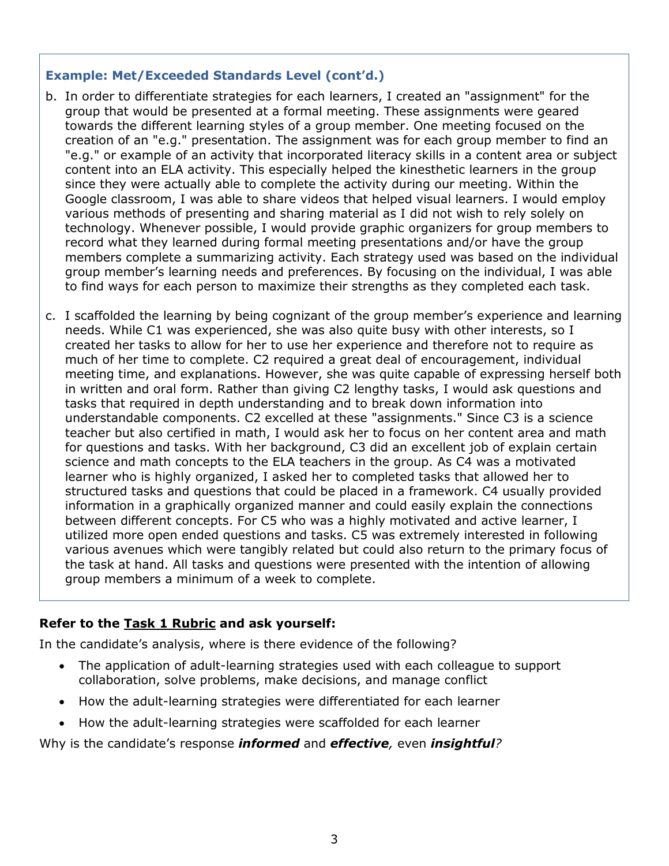#### **Example: Met/Exceeded Standards Level (cont'd.)**

- b. In order to differentiate strategies for each learners, I created an "assignment" for the group that would be presented at a formal meeting. These assignments were geared towards the different learning styles of a group member. One meeting focused on the creation of an "e.g." presentation. The assignment was for each group member to find an "e.g." or example of an activity that incorporated literacy skills in a content area or subject content into an ELA activity. This especially helped the kinesthetic learners in the group since they were actually able to complete the activity during our meeting. Within the Google classroom, I was able to share videos that helped visual learners. I would employ various methods of presenting and sharing material as I did not wish to rely solely on technology. Whenever possible, I would provide graphic organizers for group members to record what they learned during formal meeting presentations and/or have the group members complete a summarizing activity. Each strategy used was based on the individual group member's learning needs and preferences. By focusing on the individual, I was able to find ways for each person to maximize their strengths as they completed each task.
- c. I scaffolded the learning by being cognizant of the group member's experience and learning needs. While C1 was experienced, she was also quite busy with other interests, so I created her tasks to allow for her to use her experience and therefore not to require as much of her time to complete. C2 required a great deal of encouragement, individual meeting time, and explanations. However, she was quite capable of expressing herself both in written and oral form. Rather than giving C2 lengthy tasks, I would ask questions and tasks that required in depth understanding and to break down information into understandable components. C2 excelled at these "assignments." Since C3 is a science teacher but also certified in math, I would ask her to focus on her content area and math for questions and tasks. With her background, C3 did an excellent job of explain certain science and math concepts to the ELA teachers in the group. As C4 was a motivated learner who is highly organized, I asked her to completed tasks that allowed her to structured tasks and questions that could be placed in a framework. C4 usually provided information in a graphically organized manner and could easily explain the connections between different concepts. For C5 who was a highly motivated and active learner, I utilized more open ended questions and tasks. C5 was extremely interested in following various avenues which were tangibly related but could also return to the primary focus of the task at hand. All tasks and questions were presented with the intention of allowing group members a minimum of a week to complete.

#### **Refer to the [Task 1 Rubric](http://gace.ets.org/s/pdf/gace_teacher_leadership_assessment_task_1_rubric.pdf) and ask yourself:**

In the candidate's analysis, where is there evidence of the following?

- The application of adult-learning strategies used with each colleague to support collaboration, solve problems, make decisions, and manage conflict
- How the adult-learning strategies were differentiated for each learner
- How the adult-learning strategies were scaffolded for each learner

Why is the candidate's response *informed* and *effective,* even *insightful?*